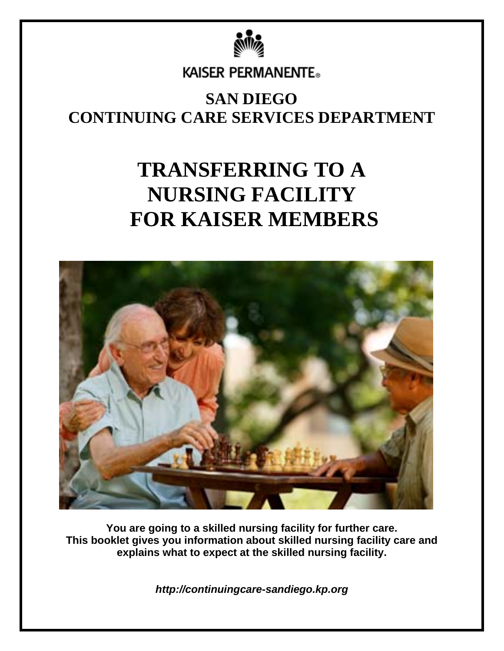

**KAISER PERMANENTE.** 

### **SAN DIEGO CONTINUING CARE SERVICES DEPARTMENT**

# **TRANSFERRING TO A NURSING FACILITY FOR KAISER MEMBERS**



**You are going to a skilled nursing facility for further care. This booklet gives you information about skilled nursing facility care and explains what to expect at the skilled nursing facility.** 

*http://continuingcare-sandiego.kp.org*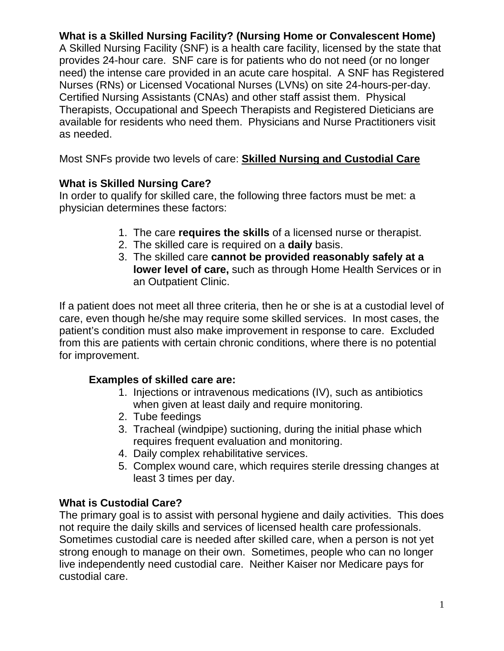**What is a Skilled Nursing Facility? (Nursing Home or Convalescent Home)** 

A Skilled Nursing Facility (SNF) is a health care facility, licensed by the state that provides 24-hour care. SNF care is for patients who do not need (or no longer need) the intense care provided in an acute care hospital. A SNF has Registered Nurses (RNs) or Licensed Vocational Nurses (LVNs) on site 24-hours-per-day. Certified Nursing Assistants (CNAs) and other staff assist them. Physical Therapists, Occupational and Speech Therapists and Registered Dieticians are available for residents who need them. Physicians and Nurse Practitioners visit as needed.

Most SNFs provide two levels of care: **Skilled Nursing and Custodial Care** 

#### **What is Skilled Nursing Care?**

In order to qualify for skilled care, the following three factors must be met: a physician determines these factors:

- 1. The care **requires the skills** of a licensed nurse or therapist.
- 2. The skilled care is required on a **daily** basis.
- 3. The skilled care **cannot be provided reasonably safely at a lower level of care,** such as through Home Health Services or in an Outpatient Clinic.

If a patient does not meet all three criteria, then he or she is at a custodial level of care, even though he/she may require some skilled services. In most cases, the patient's condition must also make improvement in response to care. Excluded from this are patients with certain chronic conditions, where there is no potential for improvement.

#### **Examples of skilled care are:**

- 1. Injections or intravenous medications (IV), such as antibiotics when given at least daily and require monitoring.
- 2. Tube feedings
- 3. Tracheal (windpipe) suctioning, during the initial phase which requires frequent evaluation and monitoring.
- 4. Daily complex rehabilitative services.
- 5. Complex wound care, which requires sterile dressing changes at least 3 times per day.

#### **What is Custodial Care?**

The primary goal is to assist with personal hygiene and daily activities. This does not require the daily skills and services of licensed health care professionals. Sometimes custodial care is needed after skilled care, when a person is not yet strong enough to manage on their own. Sometimes, people who can no longer live independently need custodial care. Neither Kaiser nor Medicare pays for custodial care.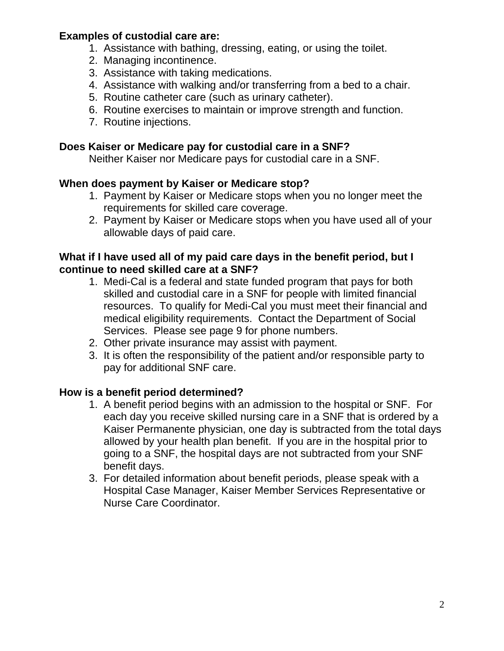#### **Examples of custodial care are:**

- 1. Assistance with bathing, dressing, eating, or using the toilet.
- 2. Managing incontinence.
- 3. Assistance with taking medications.
- 4. Assistance with walking and/or transferring from a bed to a chair.
- 5. Routine catheter care (such as urinary catheter).
- 6. Routine exercises to maintain or improve strength and function.
- 7. Routine injections.

#### **Does Kaiser or Medicare pay for custodial care in a SNF?**

Neither Kaiser nor Medicare pays for custodial care in a SNF.

#### **When does payment by Kaiser or Medicare stop?**

- 1. Payment by Kaiser or Medicare stops when you no longer meet the requirements for skilled care coverage.
- 2. Payment by Kaiser or Medicare stops when you have used all of your allowable days of paid care.

#### **What if I have used all of my paid care days in the benefit period, but I continue to need skilled care at a SNF?**

- 1. Medi-Cal is a federal and state funded program that pays for both skilled and custodial care in a SNF for people with limited financial resources. To qualify for Medi-Cal you must meet their financial and medical eligibility requirements. Contact the Department of Social Services. Please see page 9 for phone numbers.
- 2. Other private insurance may assist with payment.
- 3. It is often the responsibility of the patient and/or responsible party to pay for additional SNF care.

#### **How is a benefit period determined?**

- 1. A benefit period begins with an admission to the hospital or SNF. For each day you receive skilled nursing care in a SNF that is ordered by a Kaiser Permanente physician, one day is subtracted from the total days allowed by your health plan benefit. If you are in the hospital prior to going to a SNF, the hospital days are not subtracted from your SNF benefit days.
- 3. For detailed information about benefit periods, please speak with a Hospital Case Manager, Kaiser Member Services Representative or Nurse Care Coordinator.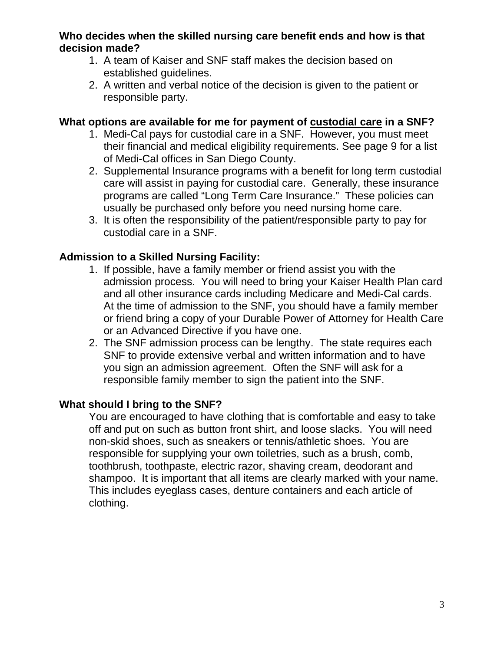#### **Who decides when the skilled nursing care benefit ends and how is that decision made?**

- 1. A team of Kaiser and SNF staff makes the decision based on established guidelines.
- 2. A written and verbal notice of the decision is given to the patient or responsible party.

#### **What options are available for me for payment of custodial care in a SNF?**

- 1. Medi-Cal pays for custodial care in a SNF. However, you must meet their financial and medical eligibility requirements. See page 9 for a list of Medi-Cal offices in San Diego County.
- 2. Supplemental Insurance programs with a benefit for long term custodial care will assist in paying for custodial care. Generally, these insurance programs are called "Long Term Care Insurance." These policies can usually be purchased only before you need nursing home care.
- 3. It is often the responsibility of the patient/responsible party to pay for custodial care in a SNF.

#### **Admission to a Skilled Nursing Facility:**

- 1. If possible, have a family member or friend assist you with the admission process. You will need to bring your Kaiser Health Plan card and all other insurance cards including Medicare and Medi-Cal cards. At the time of admission to the SNF, you should have a family member or friend bring a copy of your Durable Power of Attorney for Health Care or an Advanced Directive if you have one.
- 2. The SNF admission process can be lengthy. The state requires each SNF to provide extensive verbal and written information and to have you sign an admission agreement. Often the SNF will ask for a responsible family member to sign the patient into the SNF.

#### **What should I bring to the SNF?**

You are encouraged to have clothing that is comfortable and easy to take off and put on such as button front shirt, and loose slacks. You will need non-skid shoes, such as sneakers or tennis/athletic shoes. You are responsible for supplying your own toiletries, such as a brush, comb, toothbrush, toothpaste, electric razor, shaving cream, deodorant and shampoo. It is important that all items are clearly marked with your name. This includes eyeglass cases, denture containers and each article of clothing.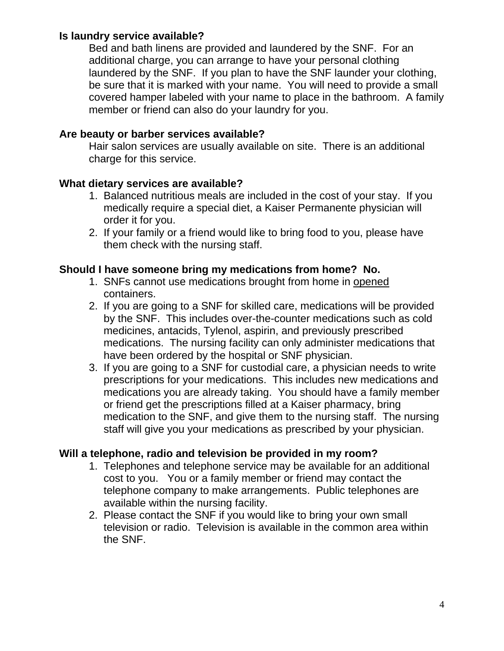#### **Is laundry service available?**

Bed and bath linens are provided and laundered by the SNF. For an additional charge, you can arrange to have your personal clothing laundered by the SNF. If you plan to have the SNF launder your clothing, be sure that it is marked with your name. You will need to provide a small covered hamper labeled with your name to place in the bathroom. A family member or friend can also do your laundry for you.

#### **Are beauty or barber services available?**

Hair salon services are usually available on site. There is an additional charge for this service.

#### **What dietary services are available?**

- 1. Balanced nutritious meals are included in the cost of your stay. If you medically require a special diet, a Kaiser Permanente physician will order it for you.
- 2. If your family or a friend would like to bring food to you, please have them check with the nursing staff.

#### **Should I have someone bring my medications from home? No.**

- 1. SNFs cannot use medications brought from home in opened containers.
- 2. If you are going to a SNF for skilled care, medications will be provided by the SNF. This includes over-the-counter medications such as cold medicines, antacids, Tylenol, aspirin, and previously prescribed medications. The nursing facility can only administer medications that have been ordered by the hospital or SNF physician.
- 3. If you are going to a SNF for custodial care, a physician needs to write prescriptions for your medications. This includes new medications and medications you are already taking. You should have a family member or friend get the prescriptions filled at a Kaiser pharmacy, bring medication to the SNF, and give them to the nursing staff. The nursing staff will give you your medications as prescribed by your physician.

#### **Will a telephone, radio and television be provided in my room?**

- 1. Telephones and telephone service may be available for an additional cost to you. You or a family member or friend may contact the telephone company to make arrangements. Public telephones are available within the nursing facility.
- 2. Please contact the SNF if you would like to bring your own small television or radio. Television is available in the common area within the SNF.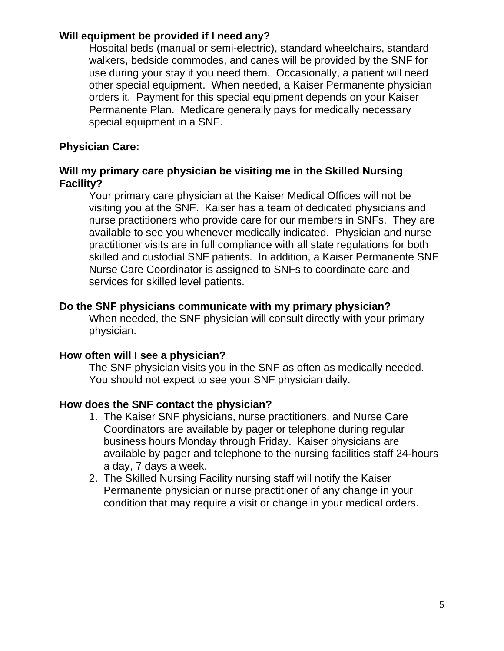#### **Will equipment be provided if I need any?**

Hospital beds (manual or semi-electric), standard wheelchairs, standard walkers, bedside commodes, and canes will be provided by the SNF for use during your stay if you need them. Occasionally, a patient will need other special equipment. When needed, a Kaiser Permanente physician orders it. Payment for this special equipment depends on your Kaiser Permanente Plan. Medicare generally pays for medically necessary special equipment in a SNF.

#### **Physician Care:**

#### **Will my primary care physician be visiting me in the Skilled Nursing Facility?**

Your primary care physician at the Kaiser Medical Offices will not be visiting you at the SNF. Kaiser has a team of dedicated physicians and nurse practitioners who provide care for our members in SNFs. They are available to see you whenever medically indicated. Physician and nurse practitioner visits are in full compliance with all state regulations for both skilled and custodial SNF patients. In addition, a Kaiser Permanente SNF Nurse Care Coordinator is assigned to SNFs to coordinate care and services for skilled level patients.

#### **Do the SNF physicians communicate with my primary physician?**

 When needed, the SNF physician will consult directly with your primary physician.

#### **How often will I see a physician?**

The SNF physician visits you in the SNF as often as medically needed. You should not expect to see your SNF physician daily.

#### **How does the SNF contact the physician?**

- 1. The Kaiser SNF physicians, nurse practitioners, and Nurse Care Coordinators are available by pager or telephone during regular business hours Monday through Friday. Kaiser physicians are available by pager and telephone to the nursing facilities staff 24-hours a day, 7 days a week.
- 2. The Skilled Nursing Facility nursing staff will notify the Kaiser Permanente physician or nurse practitioner of any change in your condition that may require a visit or change in your medical orders.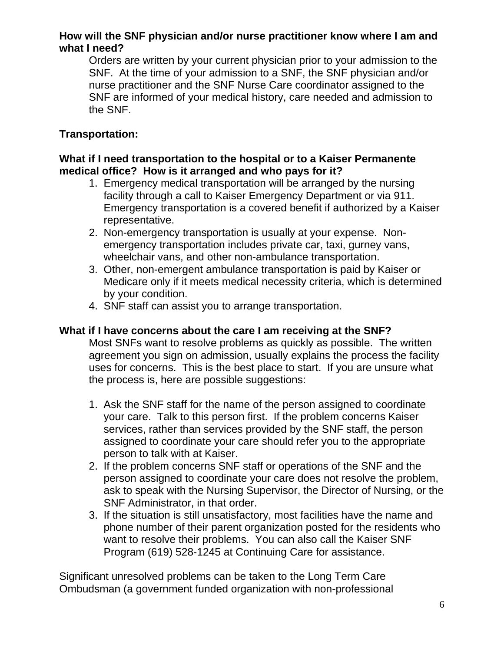#### **How will the SNF physician and/or nurse practitioner know where I am and what I need?**

Orders are written by your current physician prior to your admission to the SNF. At the time of your admission to a SNF, the SNF physician and/or nurse practitioner and the SNF Nurse Care coordinator assigned to the SNF are informed of your medical history, care needed and admission to the SNF.

#### **Transportation:**

#### **What if I need transportation to the hospital or to a Kaiser Permanente medical office? How is it arranged and who pays for it?**

- 1. Emergency medical transportation will be arranged by the nursing facility through a call to Kaiser Emergency Department or via 911. Emergency transportation is a covered benefit if authorized by a Kaiser representative.
- 2. Non-emergency transportation is usually at your expense. Nonemergency transportation includes private car, taxi, gurney vans, wheelchair vans, and other non-ambulance transportation.
- 3. Other, non-emergent ambulance transportation is paid by Kaiser or Medicare only if it meets medical necessity criteria, which is determined by your condition.
- 4. SNF staff can assist you to arrange transportation.

#### **What if I have concerns about the care I am receiving at the SNF?**

Most SNFs want to resolve problems as quickly as possible. The written agreement you sign on admission, usually explains the process the facility uses for concerns. This is the best place to start. If you are unsure what the process is, here are possible suggestions:

- 1. Ask the SNF staff for the name of the person assigned to coordinate your care. Talk to this person first. If the problem concerns Kaiser services, rather than services provided by the SNF staff, the person assigned to coordinate your care should refer you to the appropriate person to talk with at Kaiser.
- 2. If the problem concerns SNF staff or operations of the SNF and the person assigned to coordinate your care does not resolve the problem, ask to speak with the Nursing Supervisor, the Director of Nursing, or the SNF Administrator, in that order.
- 3. If the situation is still unsatisfactory, most facilities have the name and phone number of their parent organization posted for the residents who want to resolve their problems. You can also call the Kaiser SNF Program (619) 528-1245 at Continuing Care for assistance.

Significant unresolved problems can be taken to the Long Term Care Ombudsman (a government funded organization with non-professional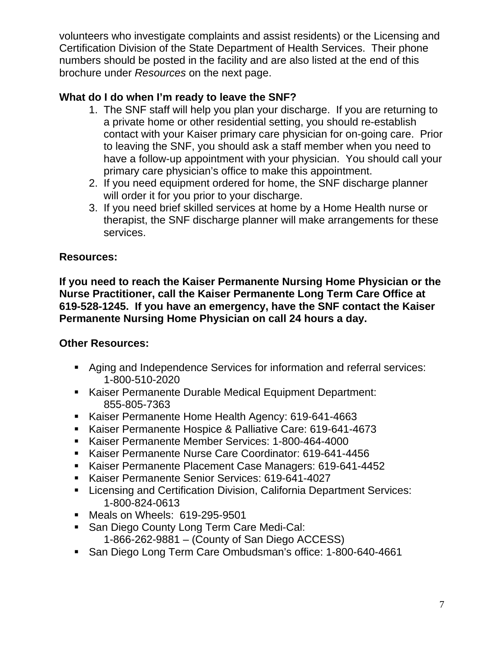volunteers who investigate complaints and assist residents) or the Licensing and Certification Division of the State Department of Health Services. Their phone numbers should be posted in the facility and are also listed at the end of this brochure under *Resources* on the next page.

#### **What do I do when I'm ready to leave the SNF?**

- 1. The SNF staff will help you plan your discharge. If you are returning to a private home or other residential setting, you should re-establish contact with your Kaiser primary care physician for on-going care. Prior to leaving the SNF, you should ask a staff member when you need to have a follow-up appointment with your physician. You should call your primary care physician's office to make this appointment.
- 2. If you need equipment ordered for home, the SNF discharge planner will order it for you prior to your discharge.
- 3. If you need brief skilled services at home by a Home Health nurse or therapist, the SNF discharge planner will make arrangements for these services.

#### **Resources:**

**If you need to reach the Kaiser Permanente Nursing Home Physician or the Nurse Practitioner, call the Kaiser Permanente Long Term Care Office at 619-528-1245. If you have an emergency, have the SNF contact the Kaiser Permanente Nursing Home Physician on call 24 hours a day.** 

#### **Other Resources:**

- Aging and Independence Services for information and referral services: 1-800-510-2020
- Kaiser Permanente Durable Medical Equipment Department: 855-805-7363
- Kaiser Permanente Home Health Agency: 619-641-4663
- Kaiser Permanente Hospice & Palliative Care: 619-641-4673
- Kaiser Permanente Member Services: 1-800-464-4000
- Kaiser Permanente Nurse Care Coordinator: 619-641-4456
- Kaiser Permanente Placement Case Managers: 619-641-4452
- Kaiser Permanente Senior Services: 619-641-4027
- **EXECTE:** Licensing and Certification Division, California Department Services: 1-800-824-0613
- **Meals on Wheels: 619-295-9501**
- **San Diego County Long Term Care Medi-Cal:** 
	- 1-866-262-9881 (County of San Diego ACCESS)
- San Diego Long Term Care Ombudsman's office: 1-800-640-4661